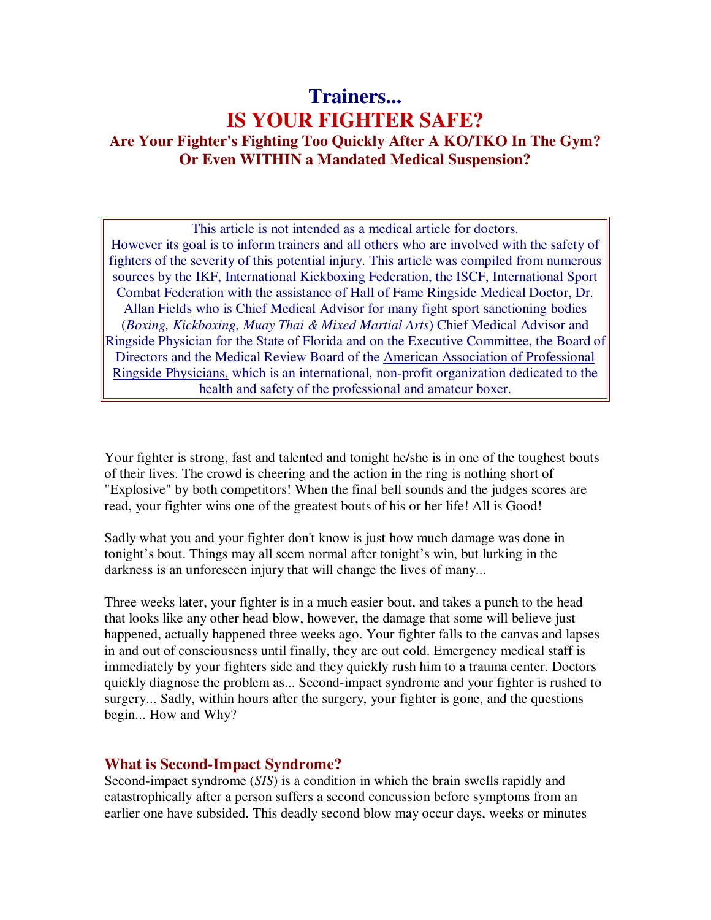# **Trainers... IS YOUR FIGHTER SAFE? Are Your Fighter's Fighting Too Quickly After A KO/TKO In The Gym? Or Even WITHIN a Mandated Medical Suspension?**

This article is not intended as a medical article for doctors. However its goal is to inform trainers and all others who are involved with the safety of fighters of the severity of this potential injury. This article was compiled from numerous sources by the IKF, International Kickboxing Federation, the ISCF, International Sport Combat Federation with the assistance of Hall of Fame Ringside Medical Doctor, Dr. Allan Fields who is Chief Medical Advisor for many fight sport sanctioning bodies (*Boxing, Kickboxing, Muay Thai & Mixed Martial Arts*) Chief Medical Advisor and Ringside Physician for the State of Florida and on the Executive Committee, the Board of Directors and the Medical Review Board of the American Association of Professional Ringside Physicians, which is an international, non-profit organization dedicated to the health and safety of the professional and amateur boxer.

Your fighter is strong, fast and talented and tonight he/she is in one of the toughest bouts of their lives. The crowd is cheering and the action in the ring is nothing short of "Explosive" by both competitors! When the final bell sounds and the judges scores are read, your fighter wins one of the greatest bouts of his or her life! All is Good!

Sadly what you and your fighter don't know is just how much damage was done in tonight's bout. Things may all seem normal after tonight's win, but lurking in the darkness is an unforeseen injury that will change the lives of many...

Three weeks later, your fighter is in a much easier bout, and takes a punch to the head that looks like any other head blow, however, the damage that some will believe just happened, actually happened three weeks ago. Your fighter falls to the canvas and lapses in and out of consciousness until finally, they are out cold. Emergency medical staff is immediately by your fighters side and they quickly rush him to a trauma center. Doctors quickly diagnose the problem as... Second-impact syndrome and your fighter is rushed to surgery... Sadly, within hours after the surgery, your fighter is gone, and the questions begin... How and Why?

## **What is Second-Impact Syndrome?**

Second-impact syndrome (*SIS*) is a condition in which the brain swells rapidly and catastrophically after a person suffers a second concussion before symptoms from an earlier one have subsided. This deadly second blow may occur days, weeks or minutes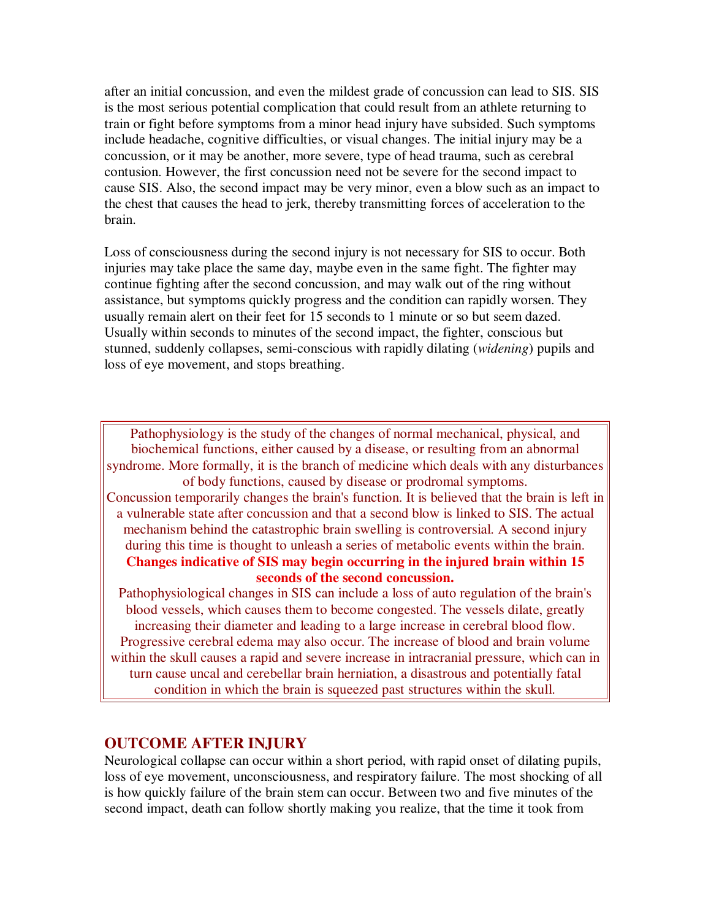after an initial concussion, and even the mildest grade of concussion can lead to SIS. SIS is the most serious potential complication that could result from an athlete returning to train or fight before symptoms from a minor head injury have subsided. Such symptoms include headache, cognitive difficulties, or visual changes. The initial injury may be a concussion, or it may be another, more severe, type of head trauma, such as cerebral contusion. However, the first concussion need not be severe for the second impact to cause SIS. Also, the second impact may be very minor, even a blow such as an impact to the chest that causes the head to jerk, thereby transmitting forces of acceleration to the brain.

Loss of consciousness during the second injury is not necessary for SIS to occur. Both injuries may take place the same day, maybe even in the same fight. The fighter may continue fighting after the second concussion, and may walk out of the ring without assistance, but symptoms quickly progress and the condition can rapidly worsen. They usually remain alert on their feet for 15 seconds to 1 minute or so but seem dazed. Usually within seconds to minutes of the second impact, the fighter, conscious but stunned, suddenly collapses, semi-conscious with rapidly dilating (*widening*) pupils and loss of eye movement, and stops breathing.

Pathophysiology is the study of the changes of normal mechanical, physical, and biochemical functions, either caused by a disease, or resulting from an abnormal syndrome. More formally, it is the branch of medicine which deals with any disturbances of body functions, caused by disease or prodromal symptoms. Concussion temporarily changes the brain's function. It is believed that the brain is left in a vulnerable state after concussion and that a second blow is linked to SIS. The actual mechanism behind the catastrophic brain swelling is controversial. A second injury during this time is thought to unleash a series of metabolic events within the brain. **Changes indicative of SIS may begin occurring in the injured brain within 15 seconds of the second concussion.** 

Pathophysiological changes in SIS can include a loss of auto regulation of the brain's blood vessels, which causes them to become congested. The vessels dilate, greatly increasing their diameter and leading to a large increase in cerebral blood flow. Progressive cerebral edema may also occur. The increase of blood and brain volume within the skull causes a rapid and severe increase in intracranial pressure, which can in turn cause uncal and cerebellar brain herniation, a disastrous and potentially fatal condition in which the brain is squeezed past structures within the skull.

## **OUTCOME AFTER INJURY**

Neurological collapse can occur within a short period, with rapid onset of dilating pupils, loss of eye movement, unconsciousness, and respiratory failure. The most shocking of all is how quickly failure of the brain stem can occur. Between two and five minutes of the second impact, death can follow shortly making you realize, that the time it took from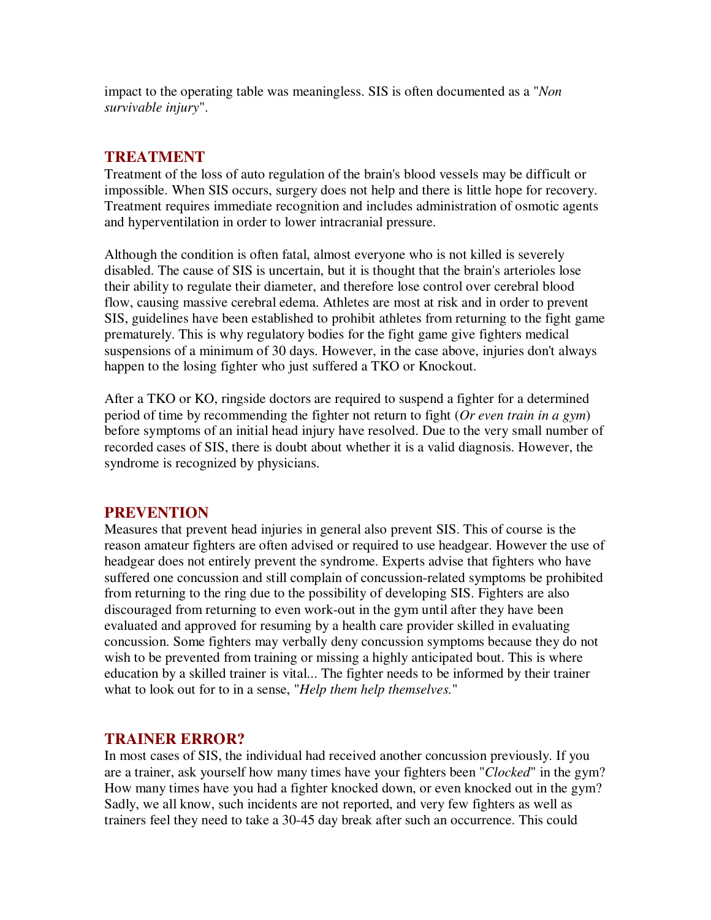impact to the operating table was meaningless. SIS is often documented as a "*Non survivable injury*".

## **TREATMENT**

Treatment of the loss of auto regulation of the brain's blood vessels may be difficult or impossible. When SIS occurs, surgery does not help and there is little hope for recovery. Treatment requires immediate recognition and includes administration of osmotic agents and hyperventilation in order to lower intracranial pressure.

Although the condition is often fatal, almost everyone who is not killed is severely disabled. The cause of SIS is uncertain, but it is thought that the brain's arterioles lose their ability to regulate their diameter, and therefore lose control over cerebral blood flow, causing massive cerebral edema. Athletes are most at risk and in order to prevent SIS, guidelines have been established to prohibit athletes from returning to the fight game prematurely. This is why regulatory bodies for the fight game give fighters medical suspensions of a minimum of 30 days. However, in the case above, injuries don't always happen to the losing fighter who just suffered a TKO or Knockout.

After a TKO or KO, ringside doctors are required to suspend a fighter for a determined period of time by recommending the fighter not return to fight (*Or even train in a gym*) before symptoms of an initial head injury have resolved. Due to the very small number of recorded cases of SIS, there is doubt about whether it is a valid diagnosis. However, the syndrome is recognized by physicians.

## **PREVENTION**

Measures that prevent head injuries in general also prevent SIS. This of course is the reason amateur fighters are often advised or required to use headgear. However the use of headgear does not entirely prevent the syndrome. Experts advise that fighters who have suffered one concussion and still complain of concussion-related symptoms be prohibited from returning to the ring due to the possibility of developing SIS. Fighters are also discouraged from returning to even work-out in the gym until after they have been evaluated and approved for resuming by a health care provider skilled in evaluating concussion. Some fighters may verbally deny concussion symptoms because they do not wish to be prevented from training or missing a highly anticipated bout. This is where education by a skilled trainer is vital... The fighter needs to be informed by their trainer what to look out for to in a sense, "*Help them help themselves.*"

## **TRAINER ERROR?**

In most cases of SIS, the individual had received another concussion previously. If you are a trainer, ask yourself how many times have your fighters been "*Clocked*" in the gym? How many times have you had a fighter knocked down, or even knocked out in the gym? Sadly, we all know, such incidents are not reported, and very few fighters as well as trainers feel they need to take a 30-45 day break after such an occurrence. This could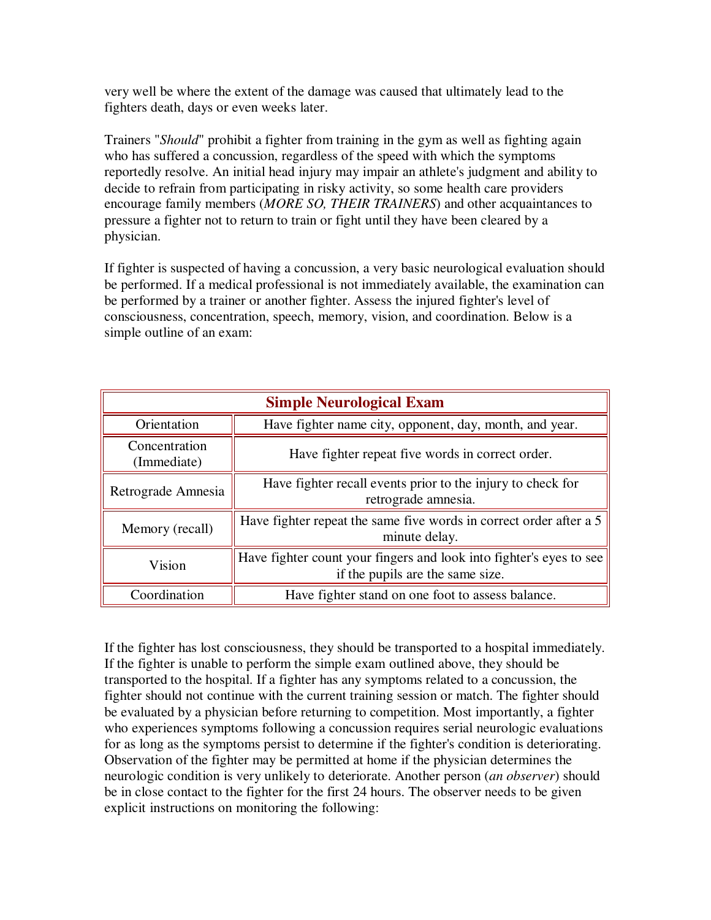very well be where the extent of the damage was caused that ultimately lead to the fighters death, days or even weeks later.

Trainers "*Should*" prohibit a fighter from training in the gym as well as fighting again who has suffered a concussion, regardless of the speed with which the symptoms reportedly resolve. An initial head injury may impair an athlete's judgment and ability to decide to refrain from participating in risky activity, so some health care providers encourage family members (*MORE SO, THEIR TRAINERS*) and other acquaintances to pressure a fighter not to return to train or fight until they have been cleared by a physician.

If fighter is suspected of having a concussion, a very basic neurological evaluation should be performed. If a medical professional is not immediately available, the examination can be performed by a trainer or another fighter. Assess the injured fighter's level of consciousness, concentration, speech, memory, vision, and coordination. Below is a simple outline of an exam:

| <b>Simple Neurological Exam</b> |                                                                                                         |  |  |
|---------------------------------|---------------------------------------------------------------------------------------------------------|--|--|
| Orientation                     | Have fighter name city, opponent, day, month, and year.                                                 |  |  |
| Concentration<br>(Immediate)    | Have fighter repeat five words in correct order.                                                        |  |  |
| Retrograde Amnesia              | Have fighter recall events prior to the injury to check for<br>retrograde amnesia.                      |  |  |
| Memory (recall)                 | Have fighter repeat the same five words in correct order after a 5<br>minute delay.                     |  |  |
| Vision                          | Have fighter count your fingers and look into fighter's eyes to see<br>if the pupils are the same size. |  |  |
| Coordination                    | Have fighter stand on one foot to assess balance.                                                       |  |  |

If the fighter has lost consciousness, they should be transported to a hospital immediately. If the fighter is unable to perform the simple exam outlined above, they should be transported to the hospital. If a fighter has any symptoms related to a concussion, the fighter should not continue with the current training session or match. The fighter should be evaluated by a physician before returning to competition. Most importantly, a fighter who experiences symptoms following a concussion requires serial neurologic evaluations for as long as the symptoms persist to determine if the fighter's condition is deteriorating. Observation of the fighter may be permitted at home if the physician determines the neurologic condition is very unlikely to deteriorate. Another person (*an observer*) should be in close contact to the fighter for the first 24 hours. The observer needs to be given explicit instructions on monitoring the following: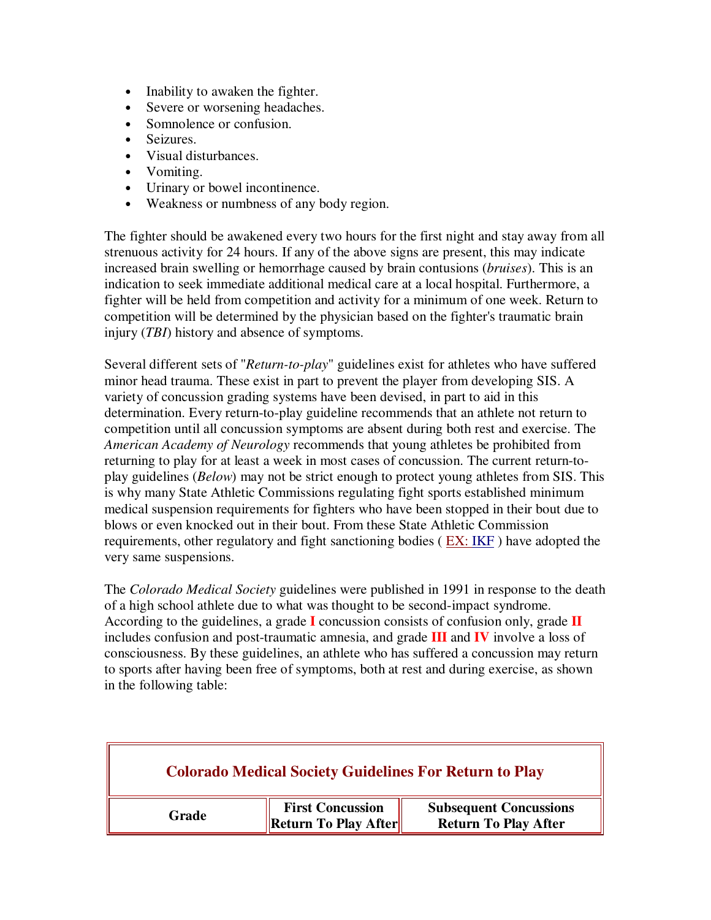- Inability to awaken the fighter.
- Severe or worsening headaches.
- Somnolence or confusion.
- Seizures.
- Visual disturbances.
- Vomiting.
- Urinary or bowel incontinence.
- Weakness or numbness of any body region.

The fighter should be awakened every two hours for the first night and stay away from all strenuous activity for 24 hours. If any of the above signs are present, this may indicate increased brain swelling or hemorrhage caused by brain contusions (*bruises*). This is an indication to seek immediate additional medical care at a local hospital. Furthermore, a fighter will be held from competition and activity for a minimum of one week. Return to competition will be determined by the physician based on the fighter's traumatic brain injury (*TBI*) history and absence of symptoms.

Several different sets of "*Return-to-play*" guidelines exist for athletes who have suffered minor head trauma. These exist in part to prevent the player from developing SIS. A variety of concussion grading systems have been devised, in part to aid in this determination. Every return-to-play guideline recommends that an athlete not return to competition until all concussion symptoms are absent during both rest and exercise. The *American Academy of Neurology* recommends that young athletes be prohibited from returning to play for at least a week in most cases of concussion. The current return-toplay guidelines (*Below*) may not be strict enough to protect young athletes from SIS. This is why many State Athletic Commissions regulating fight sports established minimum medical suspension requirements for fighters who have been stopped in their bout due to blows or even knocked out in their bout. From these State Athletic Commission requirements, other regulatory and fight sanctioning bodies ( $EX: IKF$ ) have adopted the very same suspensions.

The *Colorado Medical Society* guidelines were published in 1991 in response to the death of a high school athlete due to what was thought to be second-impact syndrome. According to the guidelines, a grade **I** concussion consists of confusion only, grade **II** includes confusion and post-traumatic amnesia, and grade **III** and **IV** involve a loss of consciousness. By these guidelines, an athlete who has suffered a concussion may return to sports after having been free of symptoms, both at rest and during exercise, as shown in the following table:

| <b>Colorado Medical Society Guidelines For Return to Play</b> |                                                 |                                                              |  |
|---------------------------------------------------------------|-------------------------------------------------|--------------------------------------------------------------|--|
| Grade                                                         | <b>First Concussion</b><br>Return To Play After | <b>Subsequent Concussions</b><br><b>Return To Play After</b> |  |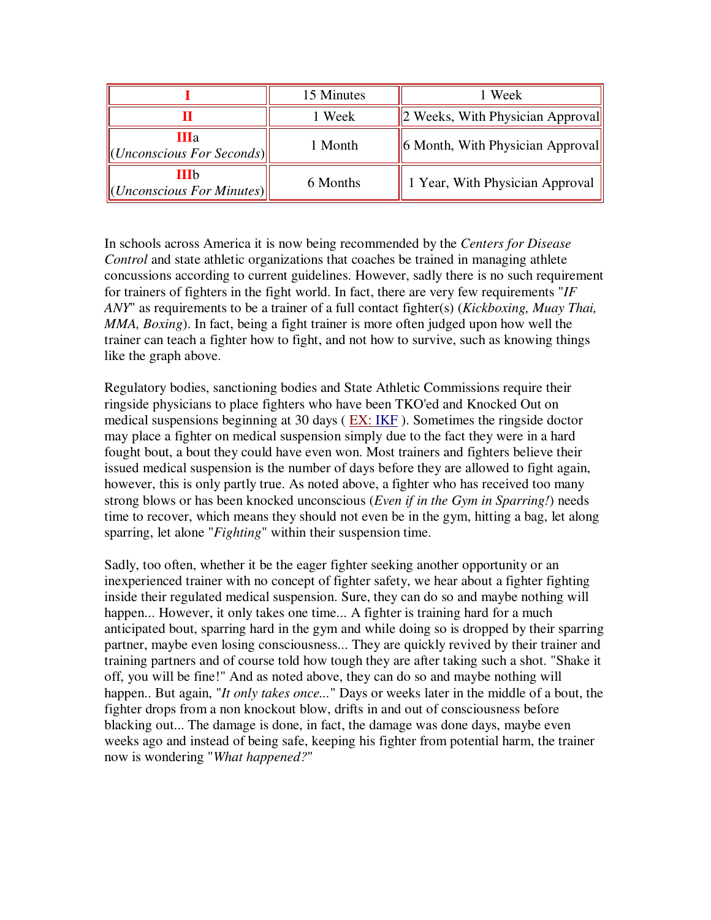|                                                                    | 15 Minutes | 1 Week                                   |
|--------------------------------------------------------------------|------------|------------------------------------------|
|                                                                    | 1 Week     | $\vert$ 2 Weeks, With Physician Approval |
| Шa<br>$\Vert$ ( <i>Unconscious For Seconds</i> ) $\Vert$           | 1 Month    | $\ $ 6 Month, With Physician Approval    |
| <b>III</b> b<br>$\Vert$ ( <i>Unconscious For Minutes</i> ) $\Vert$ | 6 Months   | 1 Year, With Physician Approval          |

In schools across America it is now being recommended by the *Centers for Disease Control* and state athletic organizations that coaches be trained in managing athlete concussions according to current guidelines. However, sadly there is no such requirement for trainers of fighters in the fight world. In fact, there are very few requirements "*IF ANY*" as requirements to be a trainer of a full contact fighter(s) (*Kickboxing, Muay Thai, MMA, Boxing*). In fact, being a fight trainer is more often judged upon how well the trainer can teach a fighter how to fight, and not how to survive, such as knowing things like the graph above.

Regulatory bodies, sanctioning bodies and State Athletic Commissions require their ringside physicians to place fighters who have been TKO'ed and Knocked Out on medical suspensions beginning at 30 days ( EX: IKF ). Sometimes the ringside doctor may place a fighter on medical suspension simply due to the fact they were in a hard fought bout, a bout they could have even won. Most trainers and fighters believe their issued medical suspension is the number of days before they are allowed to fight again, however, this is only partly true. As noted above, a fighter who has received too many strong blows or has been knocked unconscious (*Even if in the Gym in Sparring!*) needs time to recover, which means they should not even be in the gym, hitting a bag, let along sparring, let alone "*Fighting*" within their suspension time.

Sadly, too often, whether it be the eager fighter seeking another opportunity or an inexperienced trainer with no concept of fighter safety, we hear about a fighter fighting inside their regulated medical suspension. Sure, they can do so and maybe nothing will happen... However, it only takes one time... A fighter is training hard for a much anticipated bout, sparring hard in the gym and while doing so is dropped by their sparring partner, maybe even losing consciousness... They are quickly revived by their trainer and training partners and of course told how tough they are after taking such a shot. "Shake it off, you will be fine!" And as noted above, they can do so and maybe nothing will happen.. But again, "*It only takes once...*" Days or weeks later in the middle of a bout, the fighter drops from a non knockout blow, drifts in and out of consciousness before blacking out... The damage is done, in fact, the damage was done days, maybe even weeks ago and instead of being safe, keeping his fighter from potential harm, the trainer now is wondering "*What happened?*"